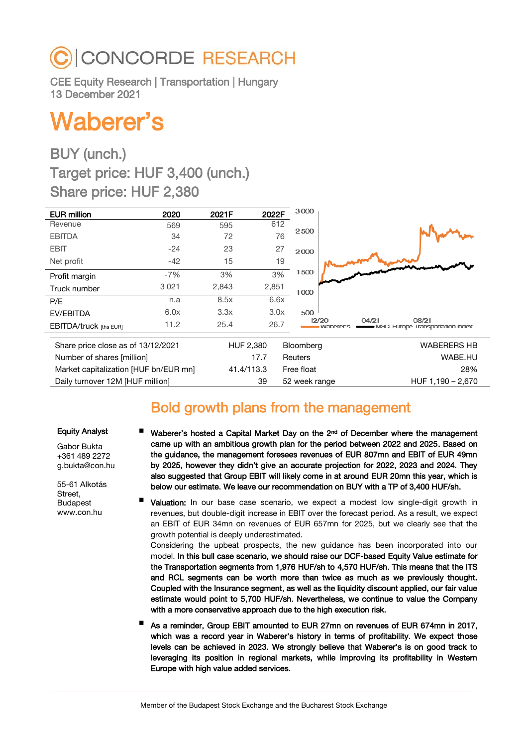# **CONCORDE RESEARCH**

CEE Equity Research | Transportation | Hungary 13 December 2021

# Waberer's

# BUY (unch.) Target price: HUF 3,400 (unch.) Share price: HUF 2,380

| <b>EUR million</b>                    | 2020    | 2021F      | 2022F | 3000           |                                                                            |
|---------------------------------------|---------|------------|-------|----------------|----------------------------------------------------------------------------|
| Revenue                               | 569     | 595        | 612   |                |                                                                            |
| <b>EBITDA</b>                         | 34      | 72         | 76    | 2500           |                                                                            |
| <b>EBIT</b>                           | $-24$   | 23         | 27    | 2000           |                                                                            |
| Net profit                            | $-42$   | 15         | 19    |                |                                                                            |
| Profit margin                         | $-7%$   | 3%         | 3%    | 1500           |                                                                            |
| Truck number                          | 3 0 2 1 | 2,843      | 2,851 | 1000           |                                                                            |
| P/E                                   | n.a     | 8.5x       | 6.6x  |                |                                                                            |
| EV/EBITDA                             | 6.0x    | 3.3x       | 3.0x  | 500            |                                                                            |
| <b>EBITDA/truck [ths EUR]</b>         | 11.2    | 25.4       | 26.7  |                | 04/21<br>08/21<br>12/20<br>Waberer's<br>- MSCI Europe Transportation Index |
| Share price close as of 13/12/2021    |         |            |       | Bloomberg      | <b>WABERERS HB</b>                                                         |
|                                       |         | HUF 2,380  |       |                |                                                                            |
| Number of shares [million]            |         |            | 17.7  | <b>Reuters</b> | WABE.HU                                                                    |
| Market capitalization [HUF bn/EUR mn] |         | 41.4/113.3 |       | Free float     | 28%                                                                        |
| Daily turnover 12M [HUF million]      |         |            | 39    | 52 week range  | HUF 1.190 - 2.670                                                          |

# Bold growth plans from the management

### Equity Analyst

Gabor Bukta +361 489 2272 g.bukta@con.hu

55-61 Alkotás Street, Budapest www.con.hu

- Waberer's hosted a Capital Market Day on the 2<sup>nd</sup> of December where the management came up with an ambitious growth plan for the period between 2022 and 2025. Based on the guidance, the management foresees revenues of EUR 807mn and EBIT of EUR 49mn by 2025, however they didn't give an accurate projection for 2022, 2023 and 2024. They also suggested that Group EBIT will likely come in at around EUR 20mn this year, which is below our estimate. We leave our recommendation on BUY with a TP of 3,400 HUF/sh.
- Valuation: In our base case scenario, we expect a modest low single-digit growth in revenues, but double-digit increase in EBIT over the forecast period. As a result, we expect an EBIT of EUR 34mn on revenues of EUR 657mn for 2025, but we clearly see that the growth potential is deeply underestimated.

Considering the upbeat prospects, the new guidance has been incorporated into our model. In this bull case scenario, we should raise our DCF-based Equity Value estimate for the Transportation segments from 1,976 HUF/sh to 4,570 HUF/sh. This means that the ITS and RCL segments can be worth more than twice as much as we previously thought. Coupled with the Insurance segment, as well as the liquidity discount applied, our fair value estimate would point to 5,700 HUF/sh. Nevertheless, we continue to value the Company with a more conservative approach due to the high execution risk.

 As a reminder, Group EBIT amounted to EUR 27mn on revenues of EUR 674mn in 2017, which was a record year in Waberer's history in terms of profitability. We expect those levels can be achieved in 2023. We strongly believe that Waberer's is on good track to leveraging its position in regional markets, while improving its profitability in Western Europe with high value added services.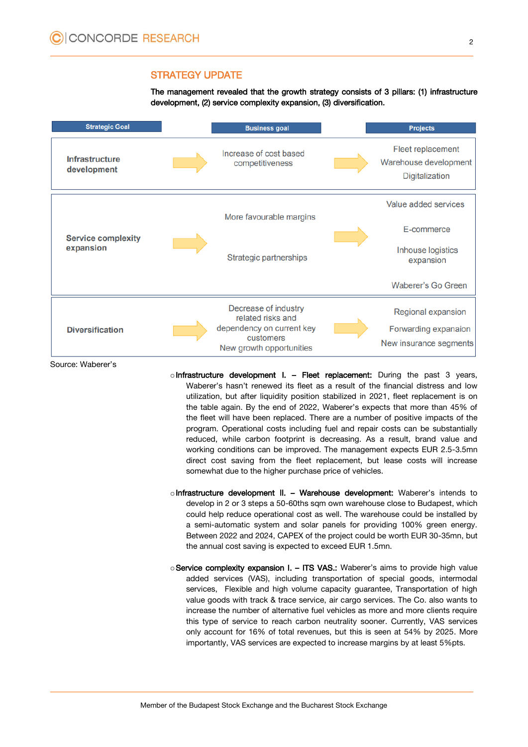### STRATEGY UPDATE

The management revealed that the growth strategy consists of 3 pillars: (1) infrastructure development, (2) service complexity expansion, (3) diversification.



Source: Waberer's

- $\circ$  Infrastructure development I. Fleet replacement: During the past 3 years, Waberer's hasn't renewed its fleet as a result of the financial distress and low utilization, but after liquidity position stabilized in 2021, fleet replacement is on the table again. By the end of 2022, Waberer's expects that more than 45% of the fleet will have been replaced. There are a number of positive impacts of the program. Operational costs including fuel and repair costs can be substantially reduced, while carbon footprint is decreasing. As a result, brand value and working conditions can be improved. The management expects EUR 2.5-3.5mn direct cost saving from the fleet replacement, but lease costs will increase somewhat due to the higher purchase price of vehicles.
- $\circ$  Infrastructure development II. Warehouse development: Waberer's intends to develop in 2 or 3 steps a 50-60ths sqm own warehouse close to Budapest, which could help reduce operational cost as well. The warehouse could be installed by a semi-automatic system and solar panels for providing 100% green energy. Between 2022 and 2024, CAPEX of the project could be worth EUR 30-35mn, but the annual cost saving is expected to exceed EUR 1.5mn.
- o Service complexity expansion I. ITS VAS.: Waberer's aims to provide high value added services (VAS), including transportation of special goods, intermodal services, Flexible and high volume capacity guarantee, Transportation of high value goods with track & trace service, air cargo services. The Co. also wants to increase the number of alternative fuel vehicles as more and more clients require this type of service to reach carbon neutrality sooner. Currently, VAS services only account for 16% of total revenues, but this is seen at 54% by 2025. More importantly, VAS services are expected to increase margins by at least 5%pts.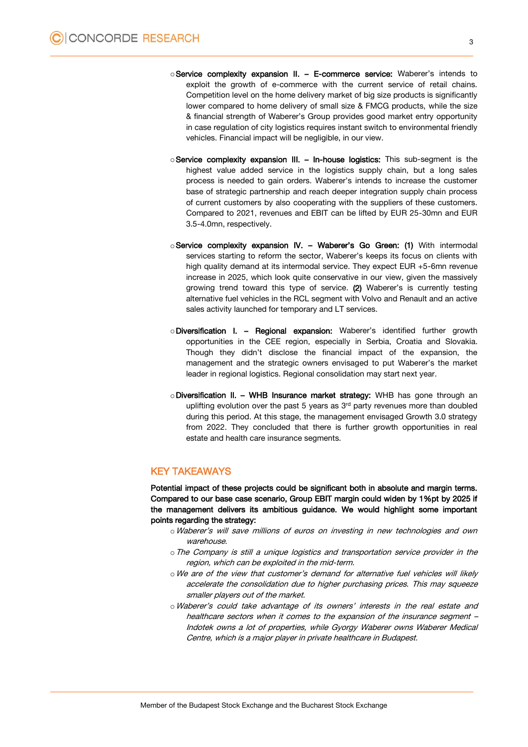- oService complexity expansion II. E-commerce service: Waberer's intends to exploit the growth of e-commerce with the current service of retail chains. Competition level on the home delivery market of big size products is significantly lower compared to home delivery of small size & FMCG products, while the size & financial strength of Waberer's Group provides good market entry opportunity in case regulation of city logistics requires instant switch to environmental friendly vehicles. Financial impact will be negligible, in our view.
- o Service complexity expansion III. In-house logistics: This sub-segment is the highest value added service in the logistics supply chain, but a long sales process is needed to gain orders. Waberer's intends to increase the customer base of strategic partnership and reach deeper integration supply chain process of current customers by also cooperating with the suppliers of these customers. Compared to 2021, revenues and EBIT can be lifted by EUR 25-30mn and EUR 3.5-4.0mn, respectively.
- $\circ$  Service complexity expansion IV. Waberer's Go Green: (1) With intermodal services starting to reform the sector, Waberer's keeps its focus on clients with high quality demand at its intermodal service. They expect EUR +5-6mn revenue increase in 2025, which look quite conservative in our view, given the massively growing trend toward this type of service. (2) Waberer's is currently testing alternative fuel vehicles in the RCL segment with Volvo and Renault and an active sales activity launched for temporary and LT services.
- oDiversification I. Regional expansion: Waberer's identified further growth opportunities in the CEE region, especially in Serbia, Croatia and Slovakia. Though they didn't disclose the financial impact of the expansion, the management and the strategic owners envisaged to put Waberer's the market leader in regional logistics. Regional consolidation may start next year.
- $\circ$  Diversification II. WHB Insurance market strategy: WHB has gone through an uplifting evolution over the past 5 years as  $3<sup>rd</sup>$  party revenues more than doubled during this period. At this stage, the management envisaged Growth 3.0 strategy from 2022. They concluded that there is further growth opportunities in real estate and health care insurance segments.

### KEY TAKEAWAYS

Potential impact of these projects could be significant both in absolute and margin terms. Compared to our base case scenario, Group EBIT margin could widen by 1%pt by 2025 if the management delivers its ambitious guidance. We would highlight some important points regarding the strategy:

- oWaberer's will save millions of euros on investing in new technologies and own warehouse.
- $\circ$  The Company is still a unique logistics and transportation service provider in the region, which can be exploited in the mid-term.
- oWe are of the view that customer's demand for alternative fuel vehicles will likely accelerate the consolidation due to higher purchasing prices. This may squeeze smaller players out of the market.
- oWaberer's could take advantage of its owners' interests in the real estate and healthcare sectors when it comes to the expansion of the insurance segment – Indotek owns a lot of properties, while Gyorgy Waberer owns Waberer Medical Centre, which is a major player in private healthcare in Budapest.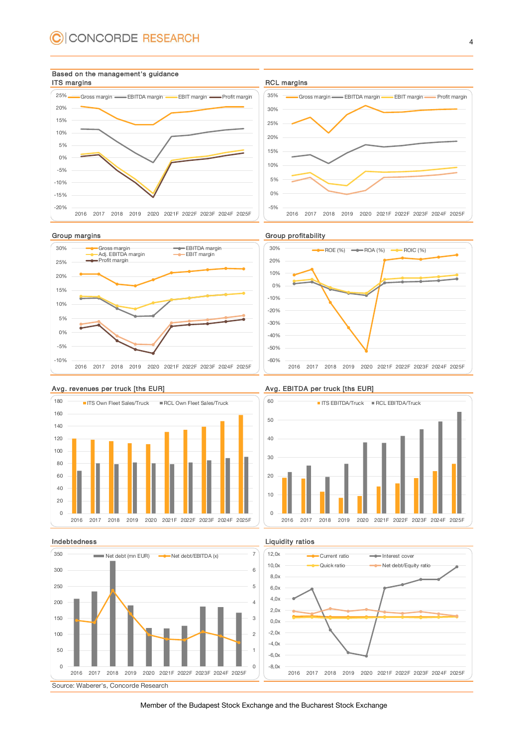













### Avg. revenues per truck [ths EUR] Avg. EBITDA per truck [ths EUR]





### Indebtedness **Liquidity ratios**



Member of the Budapest Stock Exchange and the Bucharest Stock Exchange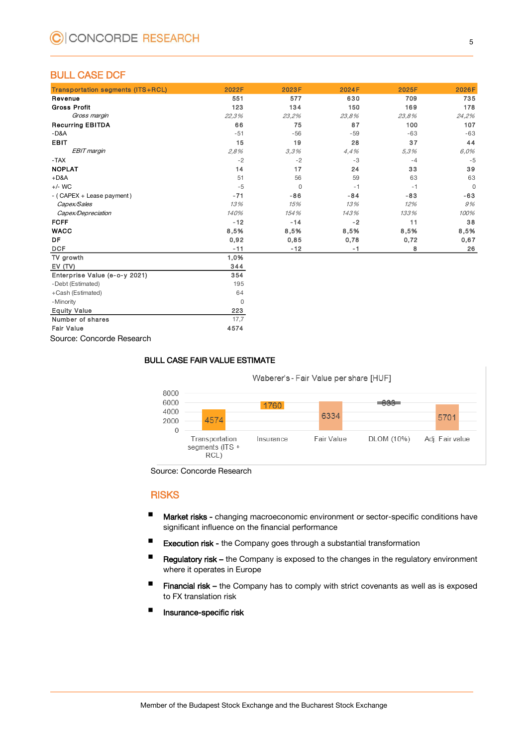### BULL CASE DCF

| <b>Transportation segments (ITS+RCL)</b> | 2022F    | 2023F    | 2024F | 2025F | 2026F       |
|------------------------------------------|----------|----------|-------|-------|-------------|
| Revenue                                  | 551      | 577      | 630   | 709   | 735         |
| <b>Gross Profit</b>                      | 123      | 134      | 150   | 169   | 178         |
| Gross margin                             | 22,3%    | 23,2%    | 23.8% | 23.8% | 24,2%       |
| <b>Recurring EBITDA</b>                  | 66       | 75       | 87    | 100   | 107         |
| $-D&A$                                   | $-51$    | $-56$    | $-59$ | $-63$ | $-63$       |
| <b>EBIT</b>                              | 15       | 19       | 28    | 37    | 44          |
| EBIT margin                              | 2.8%     | 3,3%     | 4.4%  | 5,3%  | 6,0%        |
| $-TAX$                                   | $-2$     | $-2$     | $-3$  | $-4$  | $-5$        |
| <b>NOPLAT</b>                            | 14       | 17       | 24    | 33    | 39          |
| $+D&A$                                   | 51       | 56       | 59    | 63    | 63          |
| $+/-$ WC                                 | $-5$     | $\Omega$ | $-1$  | $-1$  | $\mathbf 0$ |
| - (CAPEX + Lease payment)                | $-71$    | $-86$    | $-84$ | $-83$ | $-63$       |
| Capex/Sales                              | 13%      | 15%      | 13%   | 12%   | 9%          |
| Capex/Depreciation                       | 140%     | 154%     | 143%  | 133%  | 100%        |
| <b>FCFF</b>                              | $-12$    | $-14$    | $-2$  | 11    | 38          |
| <b>WACC</b>                              | 8,5%     | 8,5%     | 8,5%  | 8,5%  | 8,5%        |
| <b>DF</b>                                | 0,92     | 0,85     | 0,78  | 0,72  | 0,67        |
| <b>DCF</b>                               | $-11$    | $-12$    | $-1$  | 8     | 26          |
| TV growth                                | 1,0%     |          |       |       |             |
| EV(TV)                                   | 344      |          |       |       |             |
| Enterprise Value (e-o-y 2021)            | 354      |          |       |       |             |
| -Debt (Estimated)                        | 195      |          |       |       |             |
| +Cash (Estimated)                        | 64       |          |       |       |             |
| - Minority                               | $\Omega$ |          |       |       |             |
| <b>Equity Value</b>                      | 223      |          |       |       |             |
| Number of shares                         | 17,7     |          |       |       |             |
| <b>Fair Value</b>                        | 4574     |          |       |       |             |

Source: Concorde Research

### BULL CASE FAIR VALUE ESTIMATE

Waberer's - Fair Value per share [HUF]

| 8000<br>6000<br>4000<br>2000 | 4574                                      | 1760      | 6334       | 633        | 5701            |
|------------------------------|-------------------------------------------|-----------|------------|------------|-----------------|
| 0                            | Transportation<br>segments (ITS +<br>RCL' | Insurance | Fair Value | DLOM (10%) | Adj. Fair value |

Source: Concorde Research

### **RISKS**

- **Market risks -** changing macroeconomic environment or sector-specific conditions have significant influence on the financial performance
- **Execution risk the Company goes through a substantial transformation**
- Regulatory risk the Company is exposed to the changes in the regulatory environment where it operates in Europe
- **Financial risk –** the Company has to comply with strict covenants as well as is exposed to FX translation risk
- **Insurance-specific risk**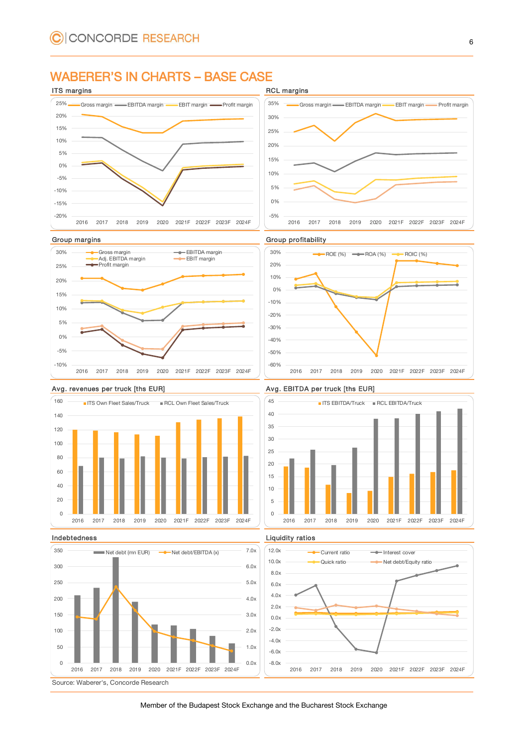### WABERER'S IN CHARTS – BASE CASE









### Avg. revenues per truck [ths EUR] Avg. EBITDA per truck [ths EUR]









Source: Waberer's, Concorde Research

Member of the Budapest Stock Exchange and the Bucharest Stock Exchange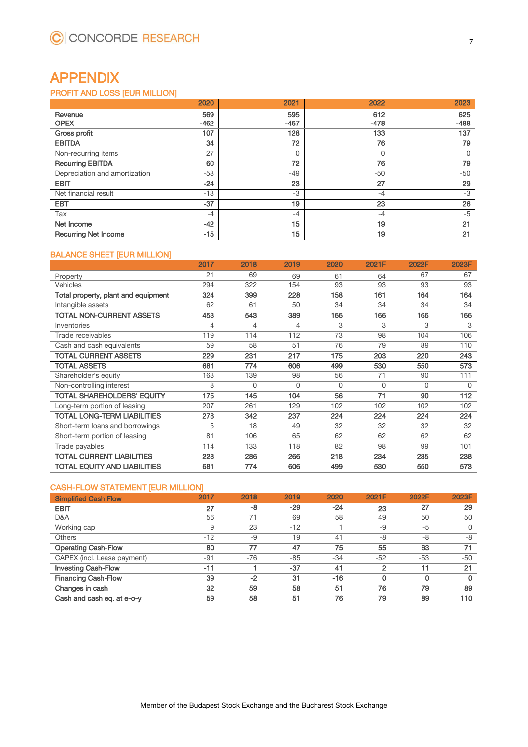## APPENDIX

### PROFIT AND LOSS [EUR MILLION]

| 2020                          |        | 2021   | 2022   | 2023   |
|-------------------------------|--------|--------|--------|--------|
| Revenue                       | 569    | 595    | 612    | 625    |
| <b>OPEX</b>                   | $-462$ | $-467$ | $-478$ | $-488$ |
| Gross profit                  | 107    | 128    | 133    | 137    |
| <b>EBITDA</b>                 | 34     | 72     | 76     | 79     |
| Non-recurring items           | 27     |        | 0      | 0      |
| <b>Recurring EBITDA</b>       | 60     | 72     | 76     | 79     |
| Depreciation and amortization | -58    | $-49$  | $-50$  | $-50$  |
| <b>EBIT</b>                   | $-24$  | 23     | 27     | 29     |
| Net financial result          | $-13$  | $-3$   | $-4$   | $-3$   |
| <b>EBT</b>                    | $-37$  | 19     | 23     | 26     |
| Tax                           | $-4$   | $-4$   | $-4$   | -5     |
| Net Income                    | $-42$  | 15     | 19     | 21     |
| <b>Recurring Net Income</b>   | $-15$  | 15     | 19     | 21     |

### BALANCE SHEET [EUR MILLION]

|                                     | 2017 | 2018     | 2019     | 2020     | 2021F    | 2022F    | 2023F    |
|-------------------------------------|------|----------|----------|----------|----------|----------|----------|
| Property                            | 21   | 69       | 69       | 61       | 64       | 67       | 67       |
| <b>Vehicles</b>                     | 294  | 322      | 154      | 93       | 93       | 93       | 93       |
| Total property, plant and equipment | 324  | 399      | 228      | 158      | 161      | 164      | 164      |
| Intangible assets                   | 62   | 61       | 50       | 34       | 34       | 34       | 34       |
| <b>TOTAL NON-CURRENT ASSETS</b>     | 453  | 543      | 389      | 166      | 166      | 166      | 166      |
| Inventories                         | 4    | 4        | 4        | 3        | 3        | 3        | 3        |
| Trade receivables                   | 119  | 114      | 112      | 73       | 98       | 104      | 106      |
| Cash and cash equivalents           | 59   | 58       | 51       | 76       | 79       | 89       | 110      |
| <b>TOTAL CURRENT ASSETS</b>         | 229  | 231      | 217      | 175      | 203      | 220      | 243      |
| <b>TOTAL ASSETS</b>                 | 681  | 774      | 606      | 499      | 530      | 550      | 573      |
| Shareholder's equity                | 163  | 139      | 98       | 56       | 71       | 90       | 111      |
| Non-controlling interest            | 8    | $\Omega$ | $\Omega$ | $\Omega$ | $\Omega$ | $\Omega$ | $\Omega$ |
| <b>TOTAL SHAREHOLDERS' EQUITY</b>   | 175  | 145      | 104      | 56       | 71       | 90       | 112      |
| Long-term portion of leasing        | 207  | 261      | 129      | 102      | 102      | 102      | 102      |
| <b>TOTAL LONG-TERM LIABILITIES</b>  | 278  | 342      | 237      | 224      | 224      | 224      | 224      |
| Short-term loans and borrowings     | 5    | 18       | 49       | 32       | 32       | 32       | 32       |
| Short-term portion of leasing       | 81   | 106      | 65       | 62       | 62       | 62       | 62       |
| Trade payables                      | 114  | 133      | 118      | 82       | 98       | 99       | 101      |
| <b>TOTAL CURRENT LIABILITIES</b>    | 228  | 286      | 266      | 218      | 234      | 235      | 238      |
| TOTAL EQUITY AND LIABILITIES        | 681  | 774      | 606      | 499      | 530      | 550      | 573      |

### CASH-FLOW STATEMENT [EUR MILLION]

| <b>Simplified Cash Flow</b> | 2017  | 2018  | 2019  | 2020  | 2021F          | 2022F | 2023F |
|-----------------------------|-------|-------|-------|-------|----------------|-------|-------|
| <b>EBIT</b>                 | 27    | -8    | $-29$ | $-24$ | 23             | 27    | 29    |
| D&A                         | 56    | 71    | 69    | 58    | 49             | 50    | 50    |
| Working cap                 | 9     | 23    | $-12$ |       | -9             | $-5$  | 0     |
| <b>Others</b>               | $-12$ | $-9$  | 19    | 41    | -8             | $-8$  | -8    |
| <b>Operating Cash-Flow</b>  | 80    | 77    | 47    | 75    | 55             | 63    | 71    |
| CAPEX (incl. Lease payment) | $-91$ | $-76$ | $-85$ | $-34$ | $-52$          | $-53$ | $-50$ |
| <b>Investing Cash-Flow</b>  | $-11$ |       | $-37$ | 41    | $\overline{2}$ | 11    | 21    |
| <b>Financing Cash-Flow</b>  | 39    | $-2$  | 31    | $-16$ | 0              | 0     | 0     |
| Changes in cash             | 32    | 59    | 58    | 51    | 76             | 79    | 89    |
| Cash and cash eq. at e-o-y  | 59    | 58    | 51    | 76    | 79             | 89    | 110   |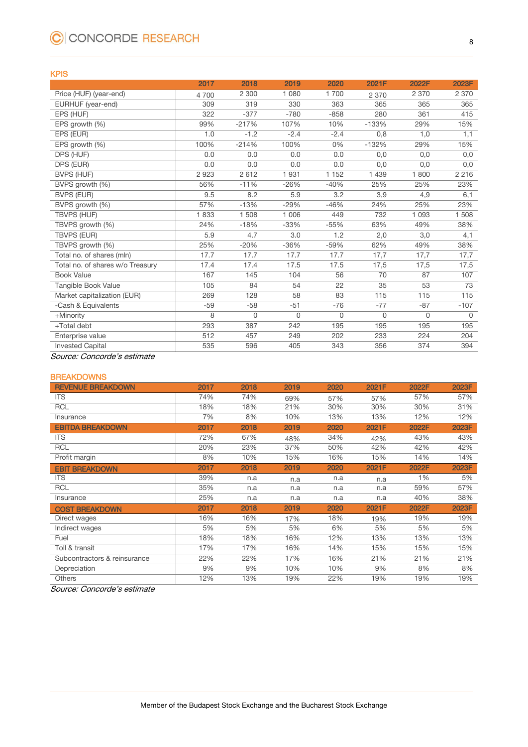## C CONCORDE RESEARCH

### KPIS

|                                  | 2017  | 2018    | 2019    | 2020     | 2021F   | 2022F       | 2023F    |
|----------------------------------|-------|---------|---------|----------|---------|-------------|----------|
| Price (HUF) (year-end)           | 4700  | 2 300   | 1 0 8 0 | 1700     | 2 3 7 0 | 2 3 7 0     | 2 3 7 0  |
| EURHUF (year-end)                | 309   | 319     | 330     | 363      | 365     | 365         | 365      |
| EPS (HUF)                        | 322   | $-377$  | $-780$  | $-858$   | 280     | 361         | 415      |
| EPS growth (%)                   | 99%   | $-217%$ | 107%    | 10%      | $-133%$ | 29%         | 15%      |
| EPS (EUR)                        | 1.0   | $-1.2$  | $-2.4$  | $-2.4$   | 0,8     | 1,0         | 1,1      |
| EPS growth (%)                   | 100%  | $-214%$ | 100%    | 0%       | $-132%$ | 29%         | 15%      |
| DPS (HUF)                        | 0.0   | 0.0     | 0.0     | 0.0      | 0,0     | 0,0         | 0,0      |
| DPS (EUR)                        | 0.0   | 0.0     | 0.0     | 0.0      | 0,0     | 0,0         | 0,0      |
| <b>BVPS (HUF)</b>                | 2923  | 2612    | 1931    | 1 1 5 2  | 1 4 3 9 | 1800        | 2 2 1 6  |
| BVPS growth (%)                  | 56%   | $-11%$  | $-26%$  | $-40%$   | 25%     | 25%         | 23%      |
| BVPS (EUR)                       | 9.5   | 8.2     | 5.9     | 3.2      | 3,9     | 4,9         | 6,1      |
| BVPS growth (%)                  | 57%   | $-13%$  | $-29%$  | $-46%$   | 24%     | 25%         | 23%      |
| <b>TBVPS (HUF)</b>               | 1833  | 1 508   | 1 0 0 6 | 449      | 732     | 1 0 9 3     | 1 508    |
| TBVPS growth (%)                 | 24%   | $-18%$  | $-33%$  | $-55%$   | 63%     | 49%         | 38%      |
| <b>TBVPS (EUR)</b>               | 5.9   | 4.7     | 3.0     | 1.2      | 2,0     | 3,0         | 4,1      |
| TBVPS growth (%)                 | 25%   | $-20%$  | $-36%$  | $-59%$   | 62%     | 49%         | 38%      |
| Total no. of shares (mln)        | 17.7  | 17.7    | 17.7    | 17.7     | 17,7    | 17,7        | 17,7     |
| Total no. of shares w/o Treasury | 17.4  | 17.4    | 17.5    | 17.5     | 17,5    | 17,5        | 17,5     |
| <b>Book Value</b>                | 167   | 145     | 104     | 56       | 70      | 87          | 107      |
| Tangible Book Value              | 105   | 84      | 54      | 22       | 35      | 53          | 73       |
| Market capitalization (EUR)      | 269   | 128     | 58      | 83       | 115     | 115         | 115      |
| -Cash & Equivalents              | $-59$ | $-58$   | $-51$   | $-76$    | $-77$   | $-87$       | $-107$   |
| +Minority                        | 8     | 0       | 0       | $\Omega$ | 0       | $\mathbf 0$ | $\Omega$ |
| +Total debt                      | 293   | 387     | 242     | 195      | 195     | 195         | 195      |
| Enterprise value                 | 512   | 457     | 249     | 202      | 233     | 224         | 204      |
| <b>Invested Capital</b>          | 535   | 596     | 405     | 343      | 356     | 374         | 394      |

Source: Concorde's estimate

### **BREAKDOWNS**

| <b>REVENUE BREAKDOWN</b>     | 2017 | 2018 | 2019 | 2020 | 2021F | 2022F | 2023F |
|------------------------------|------|------|------|------|-------|-------|-------|
| <b>ITS</b>                   | 74%  | 74%  | 69%  | 57%  | 57%   | 57%   | 57%   |
| <b>RCL</b>                   | 18%  | 18%  | 21%  | 30%  | 30%   | 30%   | 31%   |
| Insurance                    | 7%   | 8%   | 10%  | 13%  | 13%   | 12%   | 12%   |
| <b>EBITDA BREAKDOWN</b>      | 2017 | 2018 | 2019 | 2020 | 2021F | 2022F | 2023F |
| <b>ITS</b>                   | 72%  | 67%  | 48%  | 34%  | 42%   | 43%   | 43%   |
| <b>RCL</b>                   | 20%  | 23%  | 37%  | 50%  | 42%   | 42%   | 42%   |
| Profit margin                | 8%   | 10%  | 15%  | 16%  | 15%   | 14%   | 14%   |
| <b>EBIT BREAKDOWN</b>        | 2017 | 2018 | 2019 | 2020 | 2021F | 2022F | 2023F |
| <b>ITS</b>                   | 39%  | n.a  | n.a  | n.a  | n.a   | 1%    | 5%    |
| <b>RCL</b>                   | 35%  | n.a  | n.a  | n.a  | n.a   | 59%   | 57%   |
| Insurance                    | 25%  | n.a  | n.a  | n.a  | n.a   | 40%   | 38%   |
| <b>COST BREAKDOWN</b>        | 2017 | 2018 | 2019 | 2020 | 2021F | 2022F | 2023F |
| Direct wages                 | 16%  | 16%  | 17%  | 18%  | 19%   | 19%   | 19%   |
| Indirect wages               | 5%   | 5%   | 5%   | 6%   | 5%    | 5%    | 5%    |
| Fuel                         | 18%  | 18%  | 16%  | 12%  | 13%   | 13%   | 13%   |
| Toll & transit               | 17%  | 17%  | 16%  | 14%  | 15%   | 15%   | 15%   |
| Subcontractors & reinsurance | 22%  | 22%  | 17%  | 16%  | 21%   | 21%   | 21%   |
| Depreciation                 | 9%   | 9%   | 10%  | 10%  | 9%    | 8%    | 8%    |
| <b>Others</b>                | 12%  | 13%  | 19%  | 22%  | 19%   | 19%   | 19%   |

Source: Concorde's estimate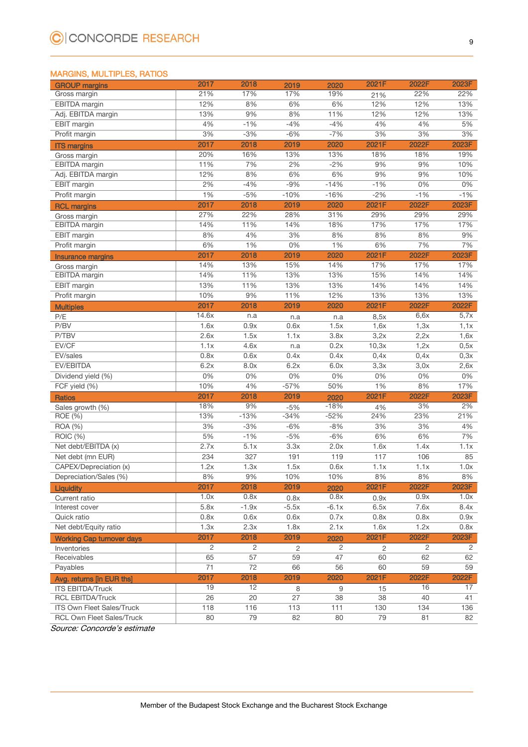### MARGINS, MULTIPLES, RATIOS

| <b>GROUP</b> margins             | 2017  | 2018           | 2019           | 2020        | 2021F        | 2022F | 2023F          |
|----------------------------------|-------|----------------|----------------|-------------|--------------|-------|----------------|
| Gross margin                     | 21%   | 17%            | 17%            | 19%         | 21%          | 22%   | 22%            |
| <b>EBITDA</b> margin             | 12%   | 8%             | 6%             | 6%          | 12%          | 12%   | 13%            |
| Adj. EBITDA margin               | 13%   | 9%             | 8%             | 11%         | 12%          | 12%   | 13%            |
| EBIT margin                      | 4%    | $-1%$          | $-4%$          | $-4%$       | 4%           | 4%    | 5%             |
| Profit margin                    | 3%    | $-3%$          | $-6%$          | $-7%$       | 3%           | 3%    | 3%             |
| <b>ITS margins</b>               | 2017  | 2018           | 2019           | 2020        | 2021F        | 2022F | 2023F          |
| Gross margin                     | 20%   | 16%            | 13%            | 13%         | 18%          | 18%   | 19%            |
| EBITDA margin                    | 11%   | 7%             | 2%             | $-2%$       | 9%           | 9%    | 10%            |
| Adj. EBITDA margin               | 12%   | 8%             | 6%             | 6%          | 9%           | 9%    | 10%            |
| <b>EBIT</b> margin               | 2%    | $-4%$          | $-9%$          | $-14%$      | $-1%$        | 0%    | 0%             |
| Profit margin                    | 1%    | $-5%$          | $-10%$         | $-16%$      | $-2%$        | $-1%$ | $-1%$          |
| <b>RCL margins</b>               | 2017  | 2018           | 2019           | 2020        | 2021F        | 2022F | 2023F          |
| Gross margin                     | 27%   | 22%            | 28%            | 31%         | 29%          | 29%   | 29%            |
| EBITDA margin                    | 14%   | 11%            | 14%            | 18%         | 17%          | 17%   | 17%            |
| EBIT margin                      | 8%    | 4%             | 3%             | 8%          | 8%           | 8%    | 9%             |
| Profit margin                    | 6%    | $1\%$          | 0%             | 1%          | 6%           | 7%    | 7%             |
| <b>Insurance margins</b>         | 2017  | 2018           | 2019           | 2020        | 2021F        | 2022F | 2023F          |
| Gross margin                     | 14%   | 13%            | 15%            | 14%         | 17%          | 17%   | 17%            |
| EBITDA margin                    | 14%   | 11%            | 13%            | 13%         | 15%          | 14%   | 14%            |
| EBIT margin                      | 13%   | 11%            | 13%            | 13%         | 14%          | 14%   | 14%            |
| Profit margin                    | 10%   | 9%             | 11%            | 12%         | 13%          | 13%   | 13%            |
|                                  | 2017  | 2018           | 2019           | 2020        | 2021F        | 2022F | 2022F          |
| <b>Multiples</b>                 | 14.6x |                |                |             |              | 6,6x  | 5,7x           |
| P/E<br>P/BV                      | 1.6x  | n.a<br>0.9x    | n.a<br>0.6x    | n.a<br>1.5x | 8,5x<br>1,6x | 1,3x  | 1,1x           |
| P/TBV                            | 2.6x  | 1.5x           | 1.1x           | 3.8x        | 3,2x         | 2,2x  |                |
| EV/CF                            | 1.1x  |                |                |             |              |       | 1,6x           |
|                                  |       | 4.6x           | n.a            | 0.2x        | 10,3x        | 1,2x  | 0,5x           |
| EV/sales                         | 0.8x  | 0.6x           | 0.4x           | 0.4x        | 0,4x         | 0,4x  | 0,3x           |
| EV/EBITDA                        | 6.2x  | 8.0x           | 6.2x           | 6.0x        | 3,3x         | 3,0x  | 2,6x           |
| Dividend yield (%)               | 0%    | 0%             | 0%             | 0%          | 0%           | $0\%$ | 0%             |
| FCF yield (%)                    | 10%   | 4%             | $-57%$         | 50%         | 1%           | 8%    | 17%            |
| <b>Ratios</b>                    | 2017  | 2018           | 2019           | 2020        | 2021F        | 2022F | 2023F          |
| Sales growth (%)                 | 18%   | 9%             | $-5%$          | $-18%$      | 4%           | 3%    | 2%             |
| ROE (%)                          | 13%   | $-13%$         | $-34%$         | $-52%$      | 24%          | 23%   | 21%            |
| <b>ROA</b> (%)                   | 3%    | $-3%$          | $-6%$          | $-8%$       | 3%           | 3%    | 4%             |
| ROIC (%)                         | 5%    | $-1%$          | $-5%$          | $-6%$       | 6%           | 6%    | 7%             |
| Net debt/EBITDA (x)              | 2.7x  | 5.1x           | 3.3x           | 2.0x        | 1.6x         | 1.4x  | 1.1x           |
| Net debt (mn EUR)                | 234   | 327            | 191            | 119         | 117          | 106   | 85             |
| CAPEX/Depreciation (x)           | 1.2x  | 1.3x           | 1.5x           | 0.6x        | 1.1x         | 1.1x  | 1.0x           |
| Depreciation/Sales (%)           | 8%    | 9%             | 10%            | 10%         | 8%           | 8%    | 8%             |
| <b>Liquidity</b>                 | 2017  | 2018           | 2019           | 2020        | 2021F        | 2022F | 2023F          |
| Current ratio                    | 1.0x  | 0.8x           | 0.8x           | 0.8x        | 0.9x         | 0.9x  | 1.0x           |
| Interest cover                   | 5.8x  | $-1.9x$        | $-5.5x$        | $-6.1x$     | 6.5x         | 7.6x  | 8.4x           |
| Quick ratio                      | 0.8x  | 0.6x           | 0.6x           | 0.7x        | 0.8x         | 0.8x  | 0.9x           |
| Net debt/Equity ratio            | 1.3x  | 2.3x           | 1.8x           | 2.1x        | 1.6x         | 1.2x  | 0.8x           |
| <b>Working Cap turnover days</b> | 2017  | 2018           | 2019           | 2020        | 2021F        | 2022F | 2023F          |
| Inventories                      | 2     | $\overline{2}$ | $\overline{2}$ | 2           | 2            | 2     | $\overline{2}$ |
| Receivables                      | 65    | 57             | 59             | 47          | 60           | 62    | 62             |
| Payables                         | 71    | 72             | 66             | 56          | 60           | 59    | 59             |
| Avg. returns [in EUR ths]        | 2017  | 2018           | 2019           | 2020        | 2021F        | 2022F | 2022F          |
| <b>ITS EBITDA/Truck</b>          | 19    | 12             | 8              | 9           | 15           | 16    | 17             |
| <b>RCL EBITDA/Truck</b>          | 26    | 20             | 27             | 38          | 38           | 40    | 41             |
| ITS Own Fleet Sales/Truck        | 118   | 116            | 113            | 111         | 130          | 134   | 136            |
| <b>RCL Own Fleet Sales/Truck</b> | 80    | 79             | 82             | 80          | 79           | 81    | 82             |

Source: Concorde's estimate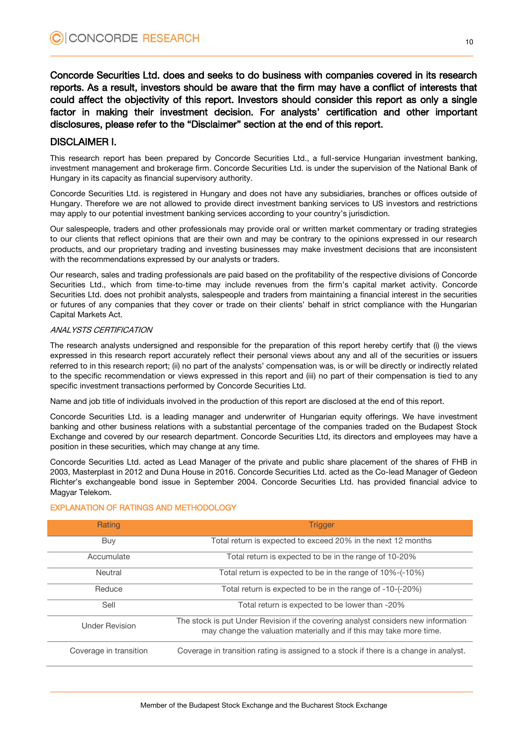Concorde Securities Ltd. does and seeks to do business with companies covered in its research reports. As a result, investors should be aware that the firm may have a conflict of interests that could affect the objectivity of this report. Investors should consider this report as only a single factor in making their investment decision. For analysts' certification and other important disclosures, please refer to the "Disclaimer" section at the end of this report.

### DISCLAIMER I.

This research report has been prepared by Concorde Securities Ltd., a full-service Hungarian investment banking, investment management and brokerage firm. Concorde Securities Ltd. is under the supervision of the National Bank of Hungary in its capacity as financial supervisory authority.

Concorde Securities Ltd. is registered in Hungary and does not have any subsidiaries, branches or offices outside of Hungary. Therefore we are not allowed to provide direct investment banking services to US investors and restrictions may apply to our potential investment banking services according to your country's jurisdiction.

Our salespeople, traders and other professionals may provide oral or written market commentary or trading strategies to our clients that reflect opinions that are their own and may be contrary to the opinions expressed in our research products, and our proprietary trading and investing businesses may make investment decisions that are inconsistent with the recommendations expressed by our analysts or traders.

Our research, sales and trading professionals are paid based on the profitability of the respective divisions of Concorde Securities Ltd., which from time-to-time may include revenues from the firm's capital market activity. Concorde Securities Ltd. does not prohibit analysts, salespeople and traders from maintaining a financial interest in the securities or futures of any companies that they cover or trade on their clients' behalf in strict compliance with the Hungarian Capital Markets Act.

### ANALYSTS CERTIFICATION

The research analysts undersigned and responsible for the preparation of this report hereby certify that (i) the views expressed in this research report accurately reflect their personal views about any and all of the securities or issuers referred to in this research report; (ii) no part of the analysts' compensation was, is or will be directly or indirectly related to the specific recommendation or views expressed in this report and (iii) no part of their compensation is tied to any specific investment transactions performed by Concorde Securities Ltd.

Name and job title of individuals involved in the production of this report are disclosed at the end of this report.

Concorde Securities Ltd. is a leading manager and underwriter of Hungarian equity offerings. We have investment banking and other business relations with a substantial percentage of the companies traded on the Budapest Stock Exchange and covered by our research department. Concorde Securities Ltd, its directors and employees may have a position in these securities, which may change at any time.

Concorde Securities Ltd. acted as Lead Manager of the private and public share placement of the shares of FHB in 2003, Masterplast in 2012 and Duna House in 2016. Concorde Securities Ltd. acted as the Co-lead Manager of Gedeon Richter's exchangeable bond issue in September 2004. Concorde Securities Ltd. has provided financial advice to Magyar Telekom.

| Rating                 | <b>Trigger</b>                                                                                                                                           |
|------------------------|----------------------------------------------------------------------------------------------------------------------------------------------------------|
| Buy                    | Total return is expected to exceed 20% in the next 12 months                                                                                             |
| Accumulate             | Total return is expected to be in the range of 10-20%                                                                                                    |
| Neutral                | Total return is expected to be in the range of 10%-(-10%)                                                                                                |
| Reduce                 | Total return is expected to be in the range of -10-(-20%)                                                                                                |
| Sell                   | Total return is expected to be lower than -20%                                                                                                           |
| <b>Under Revision</b>  | The stock is put Under Revision if the covering analyst considers new information<br>may change the valuation materially and if this may take more time. |
| Coverage in transition | Coverage in transition rating is assigned to a stock if there is a change in analyst.                                                                    |

### EXPLANATION OF RATINGS AND METHODOLOGY